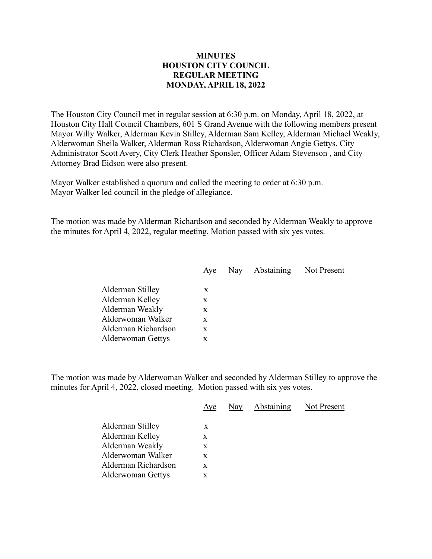## **MINUTES HOUSTON CITY COUNCIL REGULAR MEETING MONDAY, APRIL 18, 2022**

The Houston City Council met in regular session at 6:30 p.m. on Monday, April 18, 2022, at Houston City Hall Council Chambers, 601 S Grand Avenue with the following members present Mayor Willy Walker, Alderman Kevin Stilley, Alderman Sam Kelley, Alderman Michael Weakly, Alderwoman Sheila Walker, Alderman Ross Richardson, Alderwoman Angie Gettys, City Administrator Scott Avery, City Clerk Heather Sponsler, Officer Adam Stevenson , and City Attorney Brad Eidson were also present.

Mayor Walker established a quorum and called the meeting to order at 6:30 p.m. Mayor Walker led council in the pledge of allegiance.

The motion was made by Alderman Richardson and seconded by Alderman Weakly to approve the minutes for April 4, 2022, regular meeting. Motion passed with six yes votes.

|                          | Aye | Nay | Abstaining | Not Present |
|--------------------------|-----|-----|------------|-------------|
|                          |     |     |            |             |
| Alderman Stilley         | X   |     |            |             |
| Alderman Kelley          | x   |     |            |             |
| Alderman Weakly          | X   |     |            |             |
| Alderwoman Walker        | X   |     |            |             |
| Alderman Richardson      | X   |     |            |             |
| <b>Alderwoman Gettys</b> | x   |     |            |             |
|                          |     |     |            |             |

The motion was made by Alderwoman Walker and seconded by Alderman Stilley to approve the minutes for April 4, 2022, closed meeting. Motion passed with six yes votes.

|                     | Aye | Nay | <b>Abstaining</b> | Not Present |
|---------------------|-----|-----|-------------------|-------------|
| Alderman Stilley    | X   |     |                   |             |
|                     |     |     |                   |             |
| Alderman Kelley     | X   |     |                   |             |
| Alderman Weakly     | X   |     |                   |             |
| Alderwoman Walker   | X   |     |                   |             |
| Alderman Richardson | X   |     |                   |             |
| Alderwoman Gettys   | X   |     |                   |             |
|                     |     |     |                   |             |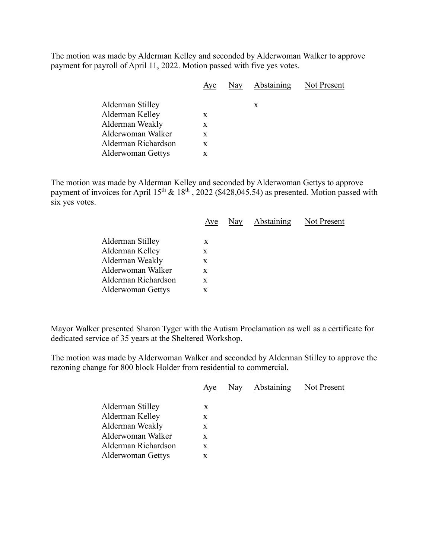The motion was made by Alderman Kelley and seconded by Alderwoman Walker to approve payment for payroll of April 11, 2022. Motion passed with five yes votes.

|                          | Aye | Nay | Abstaining Not Present |  |
|--------------------------|-----|-----|------------------------|--|
| Alderman Stilley         |     |     | X                      |  |
| Alderman Kelley          | X   |     |                        |  |
| Alderman Weakly          | X   |     |                        |  |
| Alderwoman Walker        | X   |     |                        |  |
| Alderman Richardson      | X   |     |                        |  |
| <b>Alderwoman Gettys</b> | x   |     |                        |  |

The motion was made by Alderman Kelley and seconded by Alderwoman Gettys to approve payment of invoices for April  $15<sup>th</sup>$  &  $18<sup>th</sup>$ , 2022 (\$428,045.54) as presented. Motion passed with six yes votes.

|                          |   |  | Aye Nay Abstaining Not Present |
|--------------------------|---|--|--------------------------------|
| Alderman Stilley         | X |  |                                |
| Alderman Kelley          | X |  |                                |
| Alderman Weakly          | X |  |                                |
| Alderwoman Walker        | X |  |                                |
| Alderman Richardson      | X |  |                                |
| <b>Alderwoman Gettys</b> | X |  |                                |
|                          |   |  |                                |

Mayor Walker presented Sharon Tyger with the Autism Proclamation as well as a certificate for dedicated service of 35 years at the Sheltered Workshop.

The motion was made by Alderwoman Walker and seconded by Alderman Stilley to approve the rezoning change for 800 block Holder from residential to commercial.

|                                                                                                                         | Aye                        | Nay | Abstaining | Not Present |
|-------------------------------------------------------------------------------------------------------------------------|----------------------------|-----|------------|-------------|
| Alderman Stilley<br>Alderman Kelley<br>Alderman Weakly<br>Alderwoman Walker<br>Alderman Richardson<br>Alderwoman Gettys | X<br>X<br>X<br>X<br>X<br>X |     |            |             |
|                                                                                                                         |                            |     |            |             |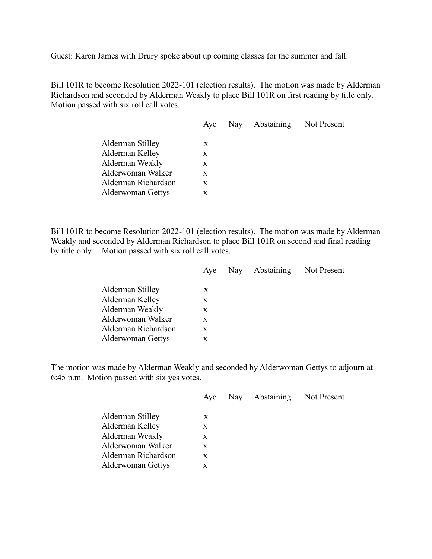Guest: Karen James with Drury spoke about up coming classes for the summer and fall.

Bill 101R to become Resolution 2022-101 (election results). The motion was made by Alderman Richardson and seconded by Alderman Weakly to place Bill 101R on first reading by title only. Motion passed with six roll call votes.

| Aye | Nay | Not Present |
|-----|-----|-------------|
|     |     |             |
| X   |     |             |
| X   |     |             |
| X   |     |             |
| X   |     |             |
| X   |     |             |
| x   |     |             |
|     |     | Abstaining  |

Bill 101R to become Resolution 2022-101 (election results). The motion was made by Alderman Weakly and seconded by Alderman Richardson to place Bill 101R on second and final reading by title only. Motion passed with six roll call votes.

|                          | Aye | Nay | Abstaining | Not Present |
|--------------------------|-----|-----|------------|-------------|
|                          |     |     |            |             |
| Alderman Stilley         | X   |     |            |             |
| Alderman Kelley          | X   |     |            |             |
| Alderman Weakly          | X   |     |            |             |
| Alderwoman Walker        | X   |     |            |             |
| Alderman Richardson      | X   |     |            |             |
| <b>Alderwoman Gettys</b> | x   |     |            |             |
|                          |     |     |            |             |

The motion was made by Alderman Weakly and seconded by Alderwoman Gettys to adjourn at 6:45 p.m. Motion passed with six yes votes.

|                          | Aye | Nay | Abstaining | Not Present |
|--------------------------|-----|-----|------------|-------------|
| Alderman Stilley         | X   |     |            |             |
| Alderman Kelley          | X   |     |            |             |
| Alderman Weakly          | X   |     |            |             |
| Alderwoman Walker        | X   |     |            |             |
| Alderman Richardson      | X   |     |            |             |
| <b>Alderwoman Gettys</b> | X   |     |            |             |
|                          |     |     |            |             |